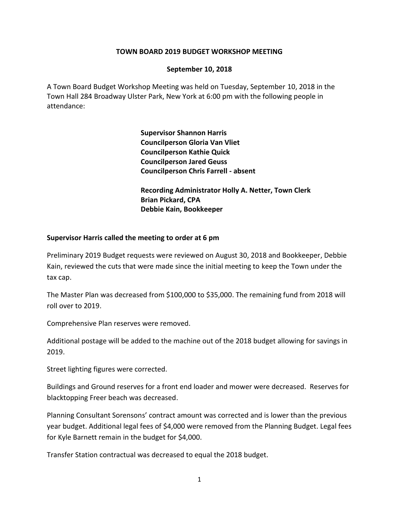## **TOWN BOARD 2019 BUDGET WORKSHOP MEETING**

## **September 10, 2018**

A Town Board Budget Workshop Meeting was held on Tuesday, September 10, 2018 in the Town Hall 284 Broadway Ulster Park, New York at 6:00 pm with the following people in attendance:

> **Supervisor Shannon Harris Councilperson Gloria Van Vliet Councilperson Kathie Quick Councilperson Jared Geuss Councilperson Chris Farrell - absent**

**Recording Administrator Holly A. Netter, Town Clerk Brian Pickard, CPA Debbie Kain, Bookkeeper**

## **Supervisor Harris called the meeting to order at 6 pm**

Preliminary 2019 Budget requests were reviewed on August 30, 2018 and Bookkeeper, Debbie Kain, reviewed the cuts that were made since the initial meeting to keep the Town under the tax cap.

The Master Plan was decreased from \$100,000 to \$35,000. The remaining fund from 2018 will roll over to 2019.

Comprehensive Plan reserves were removed.

Additional postage will be added to the machine out of the 2018 budget allowing for savings in 2019.

Street lighting figures were corrected.

Buildings and Ground reserves for a front end loader and mower were decreased. Reserves for blacktopping Freer beach was decreased.

Planning Consultant Sorensons' contract amount was corrected and is lower than the previous year budget. Additional legal fees of \$4,000 were removed from the Planning Budget. Legal fees for Kyle Barnett remain in the budget for \$4,000.

Transfer Station contractual was decreased to equal the 2018 budget.